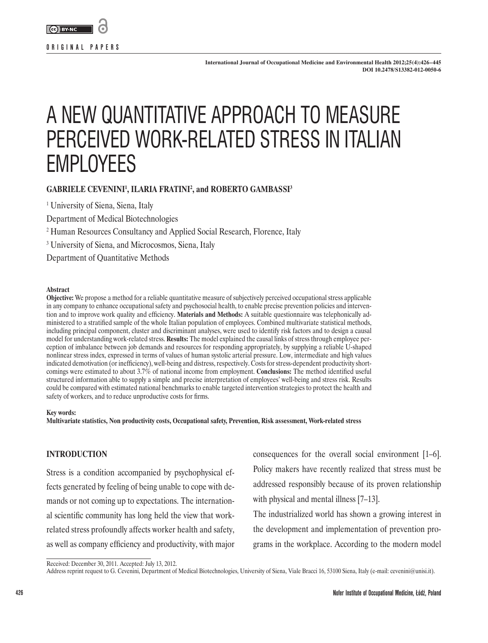

**ORIGINAL PAPERS**

# A NEW QUANTITATIVE APPROACH TO MEASURE PERCEIVED WORK-RELATED STRESS IN ITALIAN EMPLOYEES

# $\,$  GABRIELE CEVENINI<sup>1</sup>, ILARIA FRATINI<sup>2</sup>, and ROBERTO GAMBASSI<sup>3</sup>

<sup>1</sup> University of Siena, Siena, Italy

Department of Medical Biotechnologies

2 Human Resources Consultancy and Applied Social Research, Florence, Italy

3 University of Siena, and Microcosmos, Siena, Italy

Department of Quantitative Methods

#### **Abstract**

**Objective:** We propose a method for a reliable quantitative measure of subjectively perceived occupational stress applicable in any company to enhance occupational safety and psychosocial health, to enable precise prevention policies and intervention and to improve work quality and efficiency. **Materials and Methods:** A suitable questionnaire was telephonically administered to a stratified sample of the whole Italian population of employees. Combined multivariate statistical methods, including principal component, cluster and discriminant analyses, were used to identify risk factors and to design a causal model for understanding work-related stress. **Results:** The model explained the causal links of stress through employee perception of imbalance between job demands and resources for responding appropriately, by supplying a reliable U-shaped nonlinear stress index, expressed in terms of values of human systolic arterial pressure. Low, intermediate and high values indicated demotivation (or inefficiency), well-being and distress, respectively. Costs for stress-dependent productivity shortcomings were estimated to about 3.7% of national income from employment. **Conclusions:** The method identified useful structured information able to supply a simple and precise interpretation of employees' well-being and stress risk. Results could be compared with estimated national benchmarks to enable targeted intervention strategies to protect the health and safety of workers, and to reduce unproductive costs for firms.

#### **Key words:**

**Multivariate statistics, Non productivity costs, Occupational safety, Prevention, Risk assessment, Work-related stress**

#### **INTRODUCTION**

Stress is a condition accompanied by psychophysical effects generated by feeling of being unable to cope with demands or not coming up to expectations. The international scientific community has long held the view that workrelated stress profoundly affects worker health and safety, as well as company efficiency and productivity, with major consequences for the overall social environment [1–6]. Policy makers have recently realized that stress must be addressed responsibly because of its proven relationship with physical and mental illness [7–13].

The industrialized world has shown a growing interest in the development and implementation of prevention programs in the workplace. According to the modern model

Received: December 30, 2011. Accepted: July 13, 2012.

Address reprint request to G. Cevenini, Department of Medical Biotechnologies, University of Siena, Viale Bracci 16, 53100 Siena, Italy (e-mail: [cevenini@unisi.it\)](mailto:cevenini@unisi.it).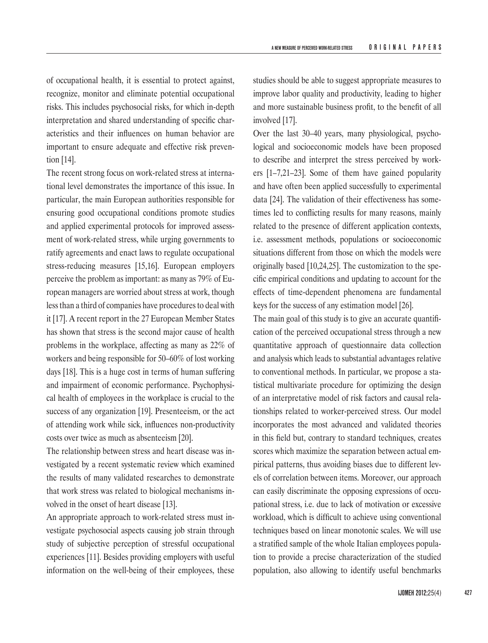of occupational health, it is essential to protect against, recognize, monitor and eliminate potential occupational risks. This includes psychosocial risks, for which in-depth interpretation and shared understanding of specific characteristics and their influences on human behavior are important to ensure adequate and effective risk prevention [14].

The recent strong focus on work-related stress at international level demonstrates the importance of this issue. In particular, the main European authorities responsible for ensuring good occupational conditions promote studies and applied experimental protocols for improved assessment of work-related stress, while urging governments to ratify agreements and enact laws to regulate occupational stress-reducing measures [15,16]. European employers perceive the problem as important: as many as 79% of European managers are worried about stress at work, though less than a third of companies have procedures to deal with it [17]. A recent report in the 27 European Member States has shown that stress is the second major cause of health problems in the workplace, affecting as many as 22% of workers and being responsible for 50–60% of lost working days [18]. This is a huge cost in terms of human suffering and impairment of economic performance. Psychophysical health of employees in the workplace is crucial to the success of any organization [19]. Presenteeism, or the act of attending work while sick, influences non-productivity costs over twice as much as absenteeism [20].

The relationship between stress and heart disease was investigated by a recent systematic review which examined the results of many validated researches to demonstrate that work stress was related to biological mechanisms involved in the onset of heart disease [13].

An appropriate approach to work-related stress must investigate psychosocial aspects causing job strain through study of subjective perception of stressful occupational experiences [11]. Besides providing employers with useful information on the well-being of their employees, these studies should be able to suggest appropriate measures to improve labor quality and productivity, leading to higher and more sustainable business profit, to the benefit of all involved [17].

Over the last 30–40 years, many physiological, psychological and socioeconomic models have been proposed to describe and interpret the stress perceived by workers [1–7,21–23]. Some of them have gained popularity and have often been applied successfully to experimental data [24]. The validation of their effectiveness has sometimes led to conflicting results for many reasons, mainly related to the presence of different application contexts, i.e. assessment methods, populations or socioeconomic situations different from those on which the models were originally based [10,24,25]. The customization to the specific empirical conditions and updating to account for the effects of time-dependent phenomena are fundamental keys for the success of any estimation model [26].

The main goal of this study is to give an accurate quantification of the perceived occupational stress through a new quantitative approach of questionnaire data collection and analysis which leads to substantial advantages relative to conventional methods. In particular, we propose a statistical multivariate procedure for optimizing the design of an interpretative model of risk factors and causal relationships related to worker-perceived stress. Our model incorporates the most advanced and validated theories in this field but, contrary to standard techniques, creates scores which maximize the separation between actual empirical patterns, thus avoiding biases due to different levels of correlation between items. Moreover, our approach can easily discriminate the opposing expressions of occupational stress, i.e. due to lack of motivation or excessive workload, which is difficult to achieve using conventional techniques based on linear monotonic scales. We will use a stratified sample of the whole Italian employees population to provide a precise characterization of the studied population, also allowing to identify useful benchmarks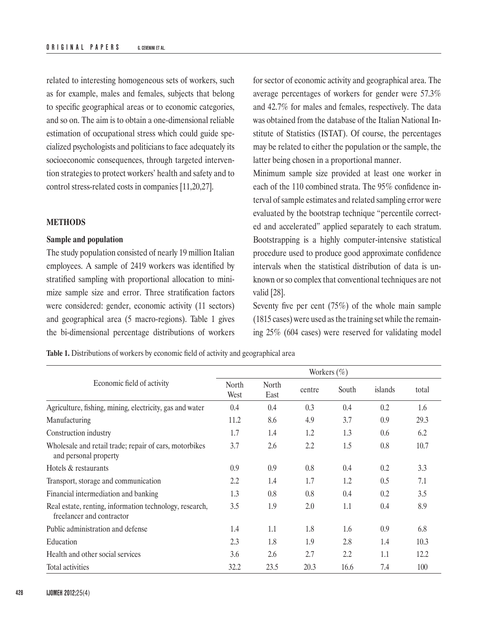related to interesting homogeneous sets of workers, such as for example, males and females, subjects that belong to specific geographical areas or to economic categories, and so on. The aim is to obtain a one-dimensional reliable estimation of occupational stress which could guide specialized psychologists and politicians to face adequately its socioeconomic consequences, through targeted intervention strategies to protect workers' health and safety and to control stress-related costs in companies [11,20,27].

#### **METHODS**

#### **Sample and population**

The study population consisted of nearly 19 million Italian employees. A sample of 2419 workers was identified by stratified sampling with proportional allocation to minimize sample size and error. Three stratification factors were considered: gender, economic activity (11 sectors) and geographical area (5 macro-regions). Table 1 gives the bi-dimensional percentage distributions of workers for sector of economic activity and geographical area. The average percentages of workers for gender were 57.3% and 42.7% for males and females, respectively. The data was obtained from the database of the Italian National Institute of Statistics (ISTAT). Of course, the percentages may be related to either the population or the sample, the latter being chosen in a proportional manner.

Minimum sample size provided at least one worker in each of the 110 combined strata. The 95% confidence interval of sample estimates and related sampling error were evaluated by the bootstrap technique "percentile corrected and accelerated" applied separately to each stratum. Bootstrapping is a highly computer-intensive statistical procedure used to produce good approximate confidence intervals when the statistical distribution of data is unknown or so complex that conventional techniques are not valid [28].

Seventy five per cent (75%) of the whole main sample (1815 cases) were used as the training set while the remaining 25% (604 cases) were reserved for validating model

**Table 1.** Distributions of workers by economic field of activity and geographical area

|                                                                                      | Workers $(\% )$ |               |        |       |         |       |  |
|--------------------------------------------------------------------------------------|-----------------|---------------|--------|-------|---------|-------|--|
| Economic field of activity                                                           | North<br>West   | North<br>East | centre | South | islands | total |  |
| Agriculture, fishing, mining, electricity, gas and water                             | 0.4             | 0.4           | 0.3    | 0.4   | 0.2     | 1.6   |  |
| Manufacturing                                                                        | 11.2            | 8.6           | 4.9    | 3.7   | 0.9     | 29.3  |  |
| Construction industry                                                                | 1.7             | 1.4           | 1.2    | 1.3   | 0.6     | 6.2   |  |
| Wholesale and retail trade; repair of cars, motorbikes<br>and personal property      | 3.7             | 2.6           | 2.2    | 1.5   | 0.8     | 10.7  |  |
| Hotels & restaurants                                                                 | 0.9             | 0.9           | 0.8    | 0.4   | 0.2     | 3.3   |  |
| Transport, storage and communication                                                 | 2.2             | 1.4           | 1.7    | 1.2   | 0.5     | 7.1   |  |
| Financial intermediation and banking                                                 | 1.3             | 0.8           | 0.8    | 0.4   | 0.2     | 3.5   |  |
| Real estate, renting, information technology, research,<br>freelancer and contractor | 3.5             | 1.9           | 2.0    | 1.1   | 0.4     | 8.9   |  |
| Public administration and defense                                                    | 1.4             | 1.1           | 1.8    | 1.6   | 0.9     | 6.8   |  |
| Education                                                                            | 2.3             | 1.8           | 1.9    | 2.8   | 1.4     | 10.3  |  |
| Health and other social services                                                     | 3.6             | 2.6           | 2.7    | 2.2   | 1.1     | 12.2  |  |
| Total activities                                                                     | 32.2            | 23.5          | 20.3   | 16.6  | 7.4     | 100   |  |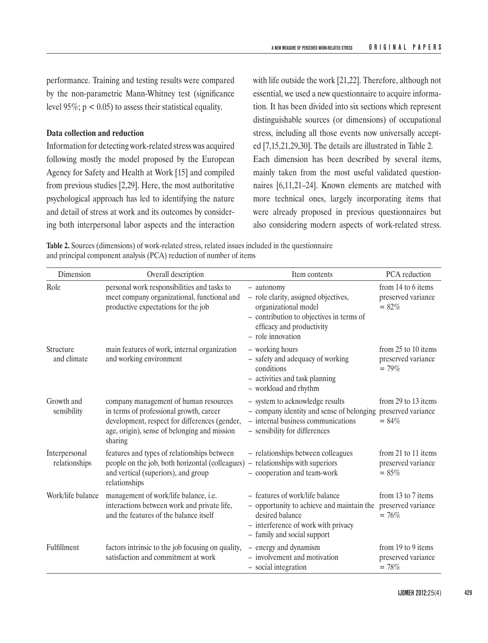performance. Training and testing results were compared by the non-parametric Mann-Whitney test (significance level 95%;  $p < 0.05$ ) to assess their statistical equality.

# **Data collection and reduction**

Information for detecting work-related stress was acquired following mostly the model proposed by the European Agency for Safety and Health at Work [15] and compiled from previous studies [2,29]. Here, the most authoritative psychological approach has led to identifying the nature and detail of stress at work and its outcomes by considering both interpersonal labor aspects and the interaction

with life outside the work [21,22]. Therefore, although not essential, we used a new questionnaire to acquire information. It has been divided into six sections which represent distinguishable sources (or dimensions) of occupational stress, including all those events now universally accepted [7,15,21,29,30]. The details are illustrated in Table 2. Each dimension has been described by several items, mainly taken from the most useful validated questionnaires [6,11,21–24]. Known elements are matched with more technical ones, largely incorporating items that were already proposed in previous questionnaires but also considering modern aspects of work-related stress.

**Table 2.** Sources (dimensions) of work-related stress, related issues included in the questionnaire and principal component analysis (PCA) reduction of number of items

| Dimension                      | Overall description                                                                                                                                                                          | Item contents                                                                                                                                                            | PCA reduction                                         |
|--------------------------------|----------------------------------------------------------------------------------------------------------------------------------------------------------------------------------------------|--------------------------------------------------------------------------------------------------------------------------------------------------------------------------|-------------------------------------------------------|
| Role                           | personal work responsibilities and tasks to<br>meet company organizational, functional and<br>productive expectations for the job                                                            | - autonomy<br>- role clarity, assigned objectives,<br>organizational model<br>- contribution to objectives in terms of<br>efficacy and productivity<br>- role innovation | from 14 to 6 items<br>preserved variance<br>$= 82\%$  |
| Structure<br>and climate       | main features of work, internal organization<br>and working environment                                                                                                                      | - working hours<br>- safety and adequacy of working<br>conditions<br>- activities and task planning<br>- workload and rhythm                                             | from 25 to 10 items<br>preserved variance<br>$= 79\%$ |
| Growth and<br>sensibility      | company management of human resources<br>in terms of professional growth, career<br>development, respect for differences (gender,<br>age, origin), sense of belonging and mission<br>sharing | - system to acknowledge results<br>- company identity and sense of belonging<br>- internal business communications<br>- sensibility for differences                      | from 29 to 13 items<br>preserved variance<br>$= 84\%$ |
| Interpersonal<br>relationships | features and types of relationships between<br>people on the job, both horizontal (colleagues)<br>and vertical (superiors), and group<br>relationships                                       | - relationships between colleagues<br>- relationships with superiors<br>- cooperation and team-work                                                                      | from 21 to 11 items<br>preserved variance<br>$= 85\%$ |
| Work/life balance              | management of work/life balance, i.e.<br>interactions between work and private life,<br>and the features of the balance itself                                                               | - features of work/life balance<br>- opportunity to achieve and maintain the<br>desired balance<br>- interference of work with privacy<br>- family and social support    | from 13 to 7 items<br>preserved variance<br>$= 76\%$  |
| Fulfillment                    | factors intrinsic to the job focusing on quality,<br>satisfaction and commitment at work                                                                                                     | - energy and dynamism<br>- involvement and motivation<br>- social integration                                                                                            | from 19 to 9 items<br>preserved variance<br>$= 78%$   |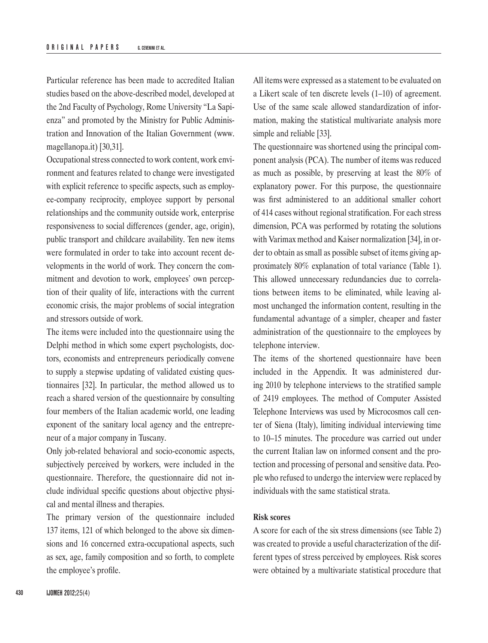Particular reference has been made to accredited Italian studies based on the above-described model, developed at the 2nd Faculty of Psychology, Rome University "La Sapienza" and promoted by the Ministry for Public Administration and Innovation of the Italian Government (www. magellanopa.it) [30,31].

Occupational stress connected to work content, work environment and features related to change were investigated with explicit reference to specific aspects, such as employee-company reciprocity, employee support by personal relationships and the community outside work, enterprise responsiveness to social differences (gender, age, origin), public transport and childcare availability. Ten new items were formulated in order to take into account recent developments in the world of work. They concern the commitment and devotion to work, employees' own perception of their quality of life, interactions with the current economic crisis, the major problems of social integration and stressors outside of work.

The items were included into the questionnaire using the Delphi method in which some expert psychologists, doctors, economists and entrepreneurs periodically convene to supply a stepwise updating of validated existing questionnaires [32]. In particular, the method allowed us to reach a shared version of the questionnaire by consulting four members of the Italian academic world, one leading exponent of the sanitary local agency and the entrepreneur of a major company in Tuscany.

Only job-related behavioral and socio-economic aspects, subjectively perceived by workers, were included in the questionnaire. Therefore, the questionnaire did not include individual specific questions about objective physical and mental illness and therapies.

The primary version of the questionnaire included 137 items, 121 of which belonged to the above six dimensions and 16 concerned extra-occupational aspects, such as sex, age, family composition and so forth, to complete the employee's profile.

All items were expressed as a statement to be evaluated on a Likert scale of ten discrete levels (1–10) of agreement. Use of the same scale allowed standardization of information, making the statistical multivariate analysis more simple and reliable [33].

The questionnaire was shortened using the principal component analysis (PCA). The number of items was reduced as much as possible, by preserving at least the 80% of explanatory power. For this purpose, the questionnaire was first administered to an additional smaller cohort of 414 cases without regional stratification. For each stress dimension, PCA was performed by rotating the solutions with Varimax method and Kaiser normalization [34], in order to obtain as small as possible subset of items giving approximately 80% explanation of total variance (Table 1). This allowed unnecessary redundancies due to correlations between items to be eliminated, while leaving almost unchanged the information content, resulting in the fundamental advantage of a simpler, cheaper and faster administration of the questionnaire to the employees by telephone interview.

The items of the shortened questionnaire have been included in the Appendix. It was administered during 2010 by telephone interviews to the stratified sample of 2419 employees. The method of Computer Assisted Telephone Interviews was used by Microcosmos call center of Siena (Italy), limiting individual interviewing time to 10–15 minutes. The procedure was carried out under the current Italian law on informed consent and the protection and processing of personal and sensitive data. People who refused to undergo the interview were replaced by individuals with the same statistical strata.

# **Risk scores**

A score for each of the six stress dimensions (see Table 2) was created to provide a useful characterization of the different types of stress perceived by employees. Risk scores were obtained by a multivariate statistical procedure that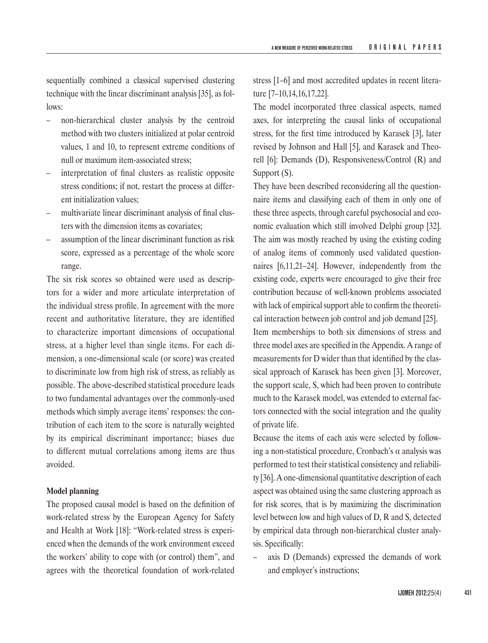sequentially combined a classical supervised clustering technique with the linear discriminant analysis [35], as follows:

- non-hierarchical cluster analysis by the centroid method with two clusters initialized at polar centroid values, 1 and 10, to represent extreme conditions of null or maximum item-associated stress;
- interpretation of final clusters as realistic opposite stress conditions; if not, restart the process at different initialization values;
- multivariate linear discriminant analysis of final clusters with the dimension items as covariates;
- assumption of the linear discriminant function as risk score, expressed as a percentage of the whole score range.

The six risk scores so obtained were used as descriptors for a wider and more articulate interpretation of the individual stress profile. In agreement with the more recent and authoritative literature, they are identified to characterize important dimensions of occupational stress, at a higher level than single items. For each dimension, a one-dimensional scale (or score) was created to discriminate low from high risk of stress, as reliably as possible. The above-described statistical procedure leads to two fundamental advantages over the commonly-used methods which simply average items' responses: the contribution of each item to the score is naturally weighted by its empirical discriminant importance; biases due to different mutual correlations among items are thus avoided.

## **Model planning**

The proposed causal model is based on the definition of work-related stress by the European Agency for Safety and Health at Work [18]: "Work-related stress is experienced when the demands of the work environment exceed the workers' ability to cope with (or control) them", and agrees with the theoretical foundation of work-related stress [1–6] and most accredited updates in recent literature [7–10,14,16,17,22].

The model incorporated three classical aspects, named axes, for interpreting the causal links of occupational stress, for the first time introduced by Karasek [3], later revised by Johnson and Hall [5], and Karasek and Theorell [6]: Demands (D), Responsiveness/Control (R) and Support (S).

They have been described reconsidering all the questionnaire items and classifying each of them in only one of these three aspects, through careful psychosocial and economic evaluation which still involved Delphi group [32]. The aim was mostly reached by using the existing coding of analog items of commonly used validated questionnaires [6,11,21–24]. However, independently from the existing code, experts were encouraged to give their free contribution because of well-known problems associated with lack of empirical support able to confirm the theoretical interaction between job control and job demand [25].

Item memberships to both six dimensions of stress and three model axes are specified in the Appendix. A range of measurements for D wider than that identified by the classical approach of Karasek has been given [3]. Moreover, the support scale, S, which had been proven to contribute much to the Karasek model, was extended to external factors connected with the social integration and the quality of private life.

Because the items of each axis were selected by following a non-statistical procedure, Cronbach's α analysis was performed to test their statistical consistency and reliability [36]. A one-dimensional quantitative description of each aspect was obtained using the same clustering approach as for risk scores, that is by maximizing the discrimination level between low and high values of D, R and S, detected by empirical data through non-hierarchical cluster analysis. Specifically:

– axis D (Demands) expressed the demands of work and employer's instructions;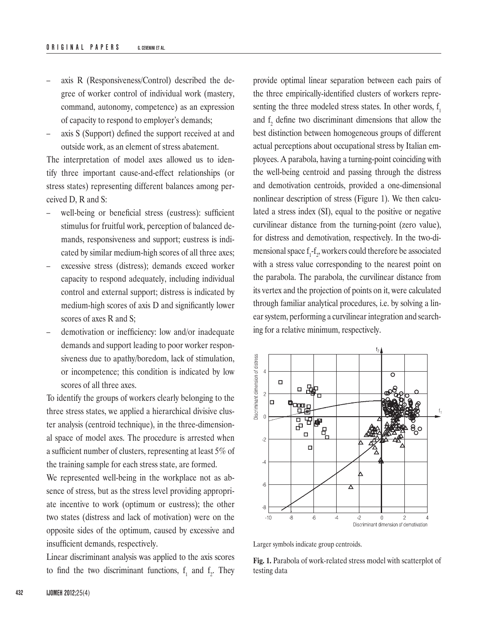- axis R (Responsiveness/Control) described the degree of worker control of individual work (mastery, command, autonomy, competence) as an expression of capacity to respond to employer's demands;
- axis S (Support) defined the support received at and outside work, as an element of stress abatement.

The interpretation of model axes allowed us to identify three important cause-and-effect relationships (or stress states) representing different balances among perceived D, R and S:

- well-being or beneficial stress (eustress): sufficient stimulus for fruitful work, perception of balanced demands, responsiveness and support; eustress is indicated by similar medium-high scores of all three axes;
- excessive stress (distress); demands exceed worker capacity to respond adequately, including individual control and external support; distress is indicated by medium-high scores of axis D and significantly lower scores of axes R and S;
- demotivation or inefficiency: low and/or inadequate demands and support leading to poor worker responsiveness due to apathy/boredom, lack of stimulation, or incompetence; this condition is indicated by low scores of all three axes.

To identify the groups of workers clearly belonging to the three stress states, we applied a hierarchical divisive cluster analysis (centroid technique), in the three-dimensional space of model axes. The procedure is arrested when a sufficient number of clusters, representing at least 5% of the training sample for each stress state, are formed.

We represented well-being in the workplace not as absence of stress, but as the stress level providing appropriate incentive to work (optimum or eustress); the other two states (distress and lack of motivation) were on the opposite sides of the optimum, caused by excessive and insufficient demands, respectively.

Linear discriminant analysis was applied to the axis scores to find the two discriminant functions,  $f_1$  and  $f_2$ . They

provide optimal linear separation between each pairs of the three empirically-identified clusters of workers representing the three modeled stress states. In other words,  $t_1$ and  $f_2$  define two discriminant dimensions that allow the best distinction between homogeneous groups of different actual perceptions about occupational stress by Italian employees. A parabola, having a turning-point coinciding with the well-being centroid and passing through the distress and demotivation centroids, provided a one-dimensional nonlinear description of stress (Figure 1). We then calculated a stress index (SI), equal to the positive or negative curvilinear distance from the turning-point (zero value), for distress and demotivation, respectively. In the two-dimensional space  $f_1 - f_2$ , workers could therefore be associated with a stress value corresponding to the nearest point on the parabola. The parabola, the curvilinear distance from its vertex and the projection of points on it, were calculated through familiar analytical procedures, i.e. by solving a linear system, performing a curvilinear integration and searching for a relative minimum, respectively.



Larger symbols indicate group centroids.

**Fig. 1.** Parabola of work-related stress model with scatterplot of testing data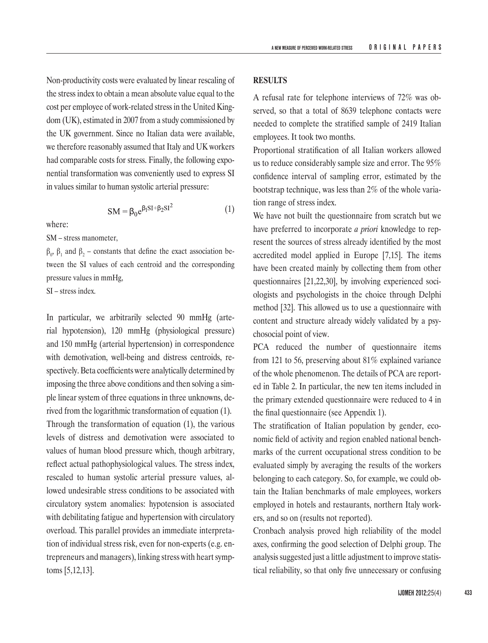Non-productivity costs were evaluated by linear rescaling of the stress index to obtain a mean absolute value equal to the cost per employee of work-related stress in the United Kingdom (UK), estimated in 2007 from a study commissioned by the UK government. Since no Italian data were available, we therefore reasonably assumed that Italy and UK workers had comparable costs for stress. Finally, the following exponential transformation was conveniently used to express SI in values similar to human systolic arterial pressure:

> $SM = \beta_0 e^{\beta_1 SI + \beta_2 SI^2}$ (1)

where:

SM – stress manometer,

 $β_0$ ,  $β_1$  and  $β_2$  – constants that define the exact association between the SI values of each centroid and the corresponding pressure values in mmHg,

SI – stress index.

In particular, we arbitrarily selected 90 mmHg (arterial hypotension), 120 mmHg (physiological pressure) and 150 mmHg (arterial hypertension) in correspondence with demotivation, well-being and distress centroids, respectively. Beta coefficients were analytically determined by imposing the three above conditions and then solving a simple linear system of three equations in three unknowns, derived from the logarithmic transformation of equation (1). Through the transformation of equation (1), the various levels of distress and demotivation were associated to values of human blood pressure which, though arbitrary, reflect actual pathophysiological values. The stress index, rescaled to human systolic arterial pressure values, allowed undesirable stress conditions to be associated with circulatory system anomalies: hypotension is associated with debilitating fatigue and hypertension with circulatory overload. This parallel provides an immediate interpretation of individual stress risk, even for non-experts (e.g. entrepreneurs and managers), linking stress with heart symptoms [5,12,13].

## **RESULTS**

A refusal rate for telephone interviews of 72% was observed, so that a total of 8639 telephone contacts were needed to complete the stratified sample of 2419 Italian employees. It took two months.

Proportional stratification of all Italian workers allowed us to reduce considerably sample size and error. The 95% confidence interval of sampling error, estimated by the bootstrap technique, was less than 2% of the whole variation range of stress index.

We have not built the questionnaire from scratch but we have preferred to incorporate *a priori* knowledge to represent the sources of stress already identified by the most accredited model applied in Europe [7,15]. The items have been created mainly by collecting them from other questionnaires [21,22,30], by involving experienced sociologists and psychologists in the choice through Delphi method [32]. This allowed us to use a questionnaire with content and structure already widely validated by a psychosocial point of view.

PCA reduced the number of questionnaire items from 121 to 56, preserving about 81% explained variance of the whole phenomenon. The details of PCA are reported in Table 2. In particular, the new ten items included in the primary extended questionnaire were reduced to 4 in the final questionnaire (see Appendix 1).

The stratification of Italian population by gender, economic field of activity and region enabled national benchmarks of the current occupational stress condition to be evaluated simply by averaging the results of the workers belonging to each category. So, for example, we could obtain the Italian benchmarks of male employees, workers employed in hotels and restaurants, northern Italy workers, and so on (results not reported).

Cronbach analysis proved high reliability of the model axes, confirming the good selection of Delphi group. The analysis suggested just a little adjustment to improve statistical reliability, so that only five unnecessary or confusing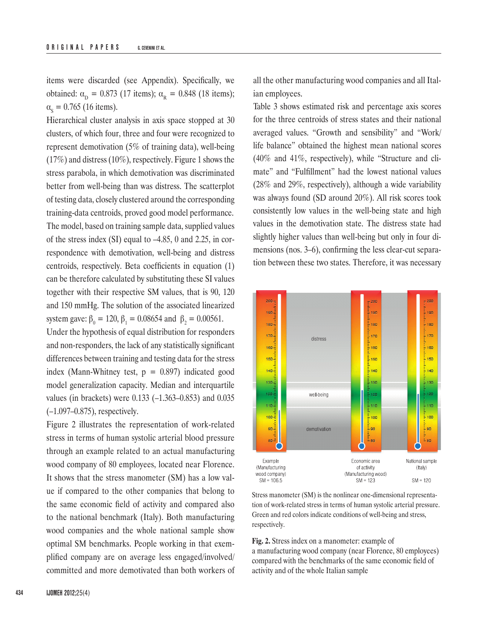items were discarded (see Appendix). Specifically, we obtained:  $\alpha_{\rm o} = 0.873$  (17 items);  $\alpha_{\rm R} = 0.848$  (18 items);  $\alpha_{\rm s} = 0.765$  (16 items).

Hierarchical cluster analysis in axis space stopped at 30 clusters, of which four, three and four were recognized to represent demotivation (5% of training data), well-being (17%) and distress (10%), respectively. Figure 1 shows the stress parabola, in which demotivation was discriminated better from well-being than was distress. The scatterplot of testing data, closely clustered around the corresponding training-data centroids, proved good model performance. The model, based on training sample data, supplied values of the stress index (SI) equal to –4.85, 0 and 2.25, in correspondence with demotivation, well-being and distress centroids, respectively. Beta coefficients in equation (1) can be therefore calculated by substituting these SI values together with their respective SM values, that is 90, 120 and 150 mmHg. The solution of the associated linearized system gave:  $\beta_0 = 120$ ,  $\beta_1 = 0.08654$  and  $\beta_2 = 0.00561$ .

Under the hypothesis of equal distribution for responders and non-responders, the lack of any statistically significant differences between training and testing data for the stress index (Mann-Whitney test,  $p = 0.897$ ) indicated good model generalization capacity. Median and interquartile values (in brackets) were 0.133 (–1.363–0.853) and 0.035 (–1.097–0.875), respectively.

Figure 2 illustrates the representation of work-related stress in terms of human systolic arterial blood pressure through an example related to an actual manufacturing wood company of 80 employees, located near Florence. It shows that the stress manometer (SM) has a low value if compared to the other companies that belong to the same economic field of activity and compared also to the national benchmark (Italy). Both manufacturing wood companies and the whole national sample show optimal SM benchmarks. People working in that exemplified company are on average less engaged/involved/ committed and more demotivated than both workers of

all the other manufacturing wood companies and all Italian employees.

Table 3 shows estimated risk and percentage axis scores for the three centroids of stress states and their national averaged values. "Growth and sensibility" and "Work/ life balance" obtained the highest mean national scores (40% and 41%, respectively), while "Structure and climate" and "Fulfillment" had the lowest national values (28% and 29%, respectively), although a wide variability was always found (SD around 20%). All risk scores took consistently low values in the well-being state and high values in the demotivation state. The distress state had slightly higher values than well-being but only in four dimensions (nos. 3–6), confirming the less clear-cut separation between these two states. Therefore, it was necessary



Stress manometer (SM) is the nonlinear one-dimensional representation of work-related stress in terms of human systolic arterial pressure. Green and red colors indicate conditions of well-being and stress, respectively.

**Fig. 2.** Stress index on a manometer: example of a manufacturing wood company (near Florence, 80 employees) compared with the benchmarks of the same economic field of activity and of the whole Italian sample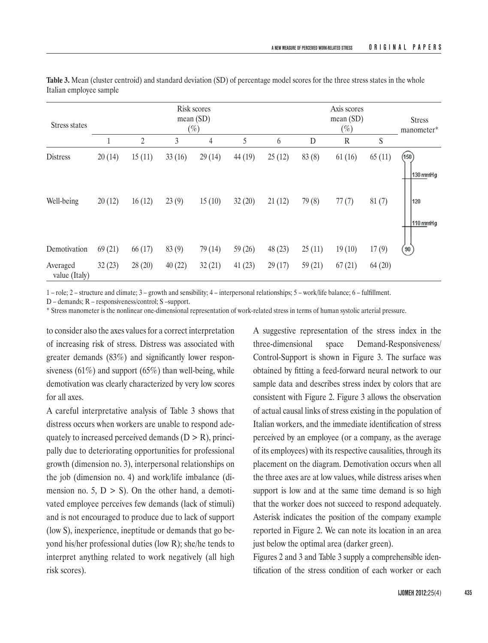| Stress states             | Risk scores<br>mean(SD)<br>$(\%)$ |                |        |        |        |        | Axis scores<br>mean(SD)<br>$(\%)$ |              |        | <b>Stress</b><br>manometer* |
|---------------------------|-----------------------------------|----------------|--------|--------|--------|--------|-----------------------------------|--------------|--------|-----------------------------|
|                           |                                   | $\overline{2}$ | 3      | 4      | 5      | 6      | $\mathbf D$                       | $\mathbb{R}$ | S      |                             |
| <b>Distress</b>           | 20(14)                            | 15(11)         | 33(16) | 29(14) | 44(19) | 25(12) | 83 (8)                            | 61(16)       | 65(11) | (150)<br>130 mmHg           |
| Well-being                | 20(12)                            | 16(12)         | 23(9)  | 15(10) | 32(20) | 21(12) | 79 (8)                            | 77(7)        | 81(7)  | 120<br>110 mmHg             |
| Demotivation              | 69(21)                            | 66(17)         | 83 (9) | 79(14) | 59(26) | 48(23) | 25(11)                            | 19(10)       | 17(9)  | (90)                        |
| Averaged<br>value (Italy) | 32(23)                            | 28(20)         | 40(22) | 32(21) | 41(23) | 29(17) | 59(21)                            | 67(21)       | 64(20) |                             |

**Table 3.** Mean (cluster centroid) and standard deviation (SD) of percentage model scores for the three stress states in the whole Italian employee sample

1 – role; 2 – structure and climate; 3 – growth and sensibility; 4 – interpersonal relationships; 5 – work/life balance; 6 – fulfillment.

D – demands; R – responsiveness/control; S –support.

\* Stress manometer is the nonlinear one-dimensional representation of work-related stress in terms of human systolic arterial pressure.

to consider also the axes values for a correct interpretation of increasing risk of stress. Distress was associated with greater demands (83%) and significantly lower responsiveness (61%) and support (65%) than well-being, while demotivation was clearly characterized by very low scores for all axes.

A careful interpretative analysis of Table 3 shows that distress occurs when workers are unable to respond adequately to increased perceived demands  $(D > R)$ , principally due to deteriorating opportunities for professional growth (dimension no. 3), interpersonal relationships on the job (dimension no. 4) and work/life imbalance (dimension no. 5,  $D > S$ ). On the other hand, a demotivated employee perceives few demands (lack of stimuli) and is not encouraged to produce due to lack of support (low S), inexperience, ineptitude or demands that go beyond his/her professional duties (low R); she/he tends to interpret anything related to work negatively (all high risk scores).

A suggestive representation of the stress index in the three-dimensional space Demand-Responsiveness/ Control-Support is shown in Figure 3. The surface was obtained by fitting a feed-forward neural network to our sample data and describes stress index by colors that are consistent with Figure 2. Figure 3 allows the observation of actual causal links of stress existing in the population of Italian workers, and the immediate identification of stress perceived by an employee (or a company, as the average of its employees) with its respective causalities, through its placement on the diagram. Demotivation occurs when all the three axes are at low values, while distress arises when support is low and at the same time demand is so high that the worker does not succeed to respond adequately. Asterisk indicates the position of the company example reported in Figure 2. We can note its location in an area just below the optimal area (darker green).

Figures 2 and 3 and Table 3 supply a comprehensible identification of the stress condition of each worker or each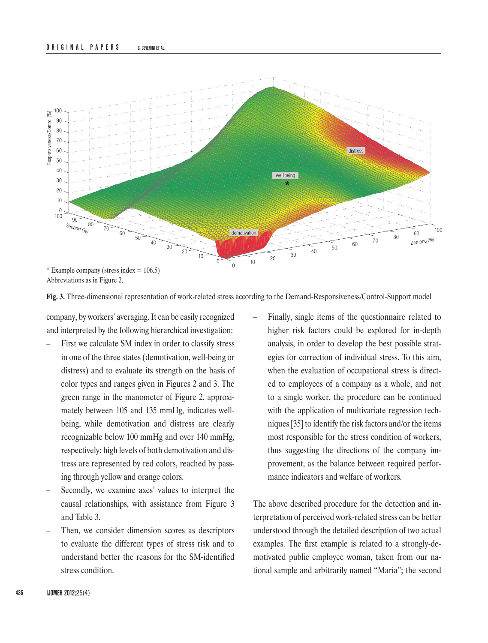#### **ORIGINAL PAPERS G. CEVENINI ET AL.**



Abbreviations as in Figure 2.

**Fig. 3.** Three-dimensional representation of work-related stress according to the Demand-Responsiveness/Control-Support model

company, by workers' averaging. It can be easily recognized and interpreted by the following hierarchical investigation:

- First we calculate SM index in order to classify stress in one of the three states (demotivation, well-being or distress) and to evaluate its strength on the basis of color types and ranges given in Figures 2 and 3. The green range in the manometer of Figure 2, approximately between 105 and 135 mmHg, indicates wellbeing, while demotivation and distress are clearly recognizable below 100 mmHg and over 140 mmHg, respectively: high levels of both demotivation and distress are represented by red colors, reached by passing through yellow and orange colors.
- Secondly, we examine axes' values to interpret the causal relationships, with assistance from Figure 3 and Table 3.
- Then, we consider dimension scores as descriptors to evaluate the different types of stress risk and to understand better the reasons for the SM-identified stress condition.
- Finally, single items of the questionnaire related to higher risk factors could be explored for in-depth analysis, in order to develop the best possible strategies for correction of individual stress. To this aim, when the evaluation of occupational stress is directed to employees of a company as a whole, and not to a single worker, the procedure can be continued with the application of multivariate regression techniques [35] to identify the risk factors and/or the items most responsible for the stress condition of workers, thus suggesting the directions of the company improvement, as the balance between required performance indicators and welfare of workers.

The above described procedure for the detection and interpretation of perceived work-related stress can be better understood through the detailed description of two actual examples. The first example is related to a strongly-demotivated public employee woman, taken from our national sample and arbitrarily named "Maria"; the second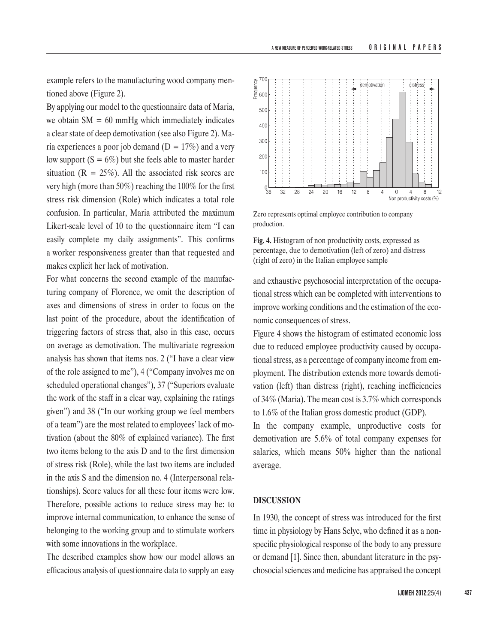example refers to the manufacturing wood company mentioned above (Figure 2).

By applying our model to the questionnaire data of Maria, we obtain  $SM = 60$  mmHg which immediately indicates a clear state of deep demotivation (see also Figure 2). Maria experiences a poor job demand ( $D = 17\%$ ) and a very low support  $(S = 6\%)$  but she feels able to master harder situation ( $R = 25\%$ ). All the associated risk scores are very high (more than 50%) reaching the 100% for the first stress risk dimension (Role) which indicates a total role confusion. In particular, Maria attributed the maximum Likert-scale level of 10 to the questionnaire item "I can easily complete my daily assignments". This confirms a worker responsiveness greater than that requested and makes explicit her lack of motivation.

For what concerns the second example of the manufacturing company of Florence, we omit the description of axes and dimensions of stress in order to focus on the last point of the procedure, about the identification of triggering factors of stress that, also in this case, occurs on average as demotivation. The multivariate regression analysis has shown that items nos. 2 ("I have a clear view of the role assigned to me"), 4 ("Company involves me on scheduled operational changes"), 37 ("Superiors evaluate the work of the staff in a clear way, explaining the ratings given") and 38 ("In our working group we feel members of a team") are the most related to employees' lack of motivation (about the 80% of explained variance). The first two items belong to the axis D and to the first dimension of stress risk (Role), while the last two items are included in the axis S and the dimension no. 4 (Interpersonal relationships). Score values for all these four items were low. Therefore, possible actions to reduce stress may be: to improve internal communication, to enhance the sense of belonging to the working group and to stimulate workers with some innovations in the workplace.

The described examples show how our model allows an efficacious analysis of questionnaire data to supply an easy



Zero represents optimal employee contribution to company production.



and exhaustive psychosocial interpretation of the occupational stress which can be completed with interventions to improve working conditions and the estimation of the economic consequences of stress.

Figure 4 shows the histogram of estimated economic loss due to reduced employee productivity caused by occupational stress, as a percentage of company income from employment. The distribution extends more towards demotivation (left) than distress (right), reaching inefficiencies of 34% (Maria). The mean cost is 3.7% which corresponds to 1.6% of the Italian gross domestic product (GDP).

In the company example, unproductive costs for demotivation are 5.6% of total company expenses for salaries, which means 50% higher than the national average.

### **DISCUSSION**

In 1930, the concept of stress was introduced for the first time in physiology by Hans Selye, who defined it as a nonspecific physiological response of the body to any pressure or demand [1]. Since then, abundant literature in the psychosocial sciences and medicine has appraised the concept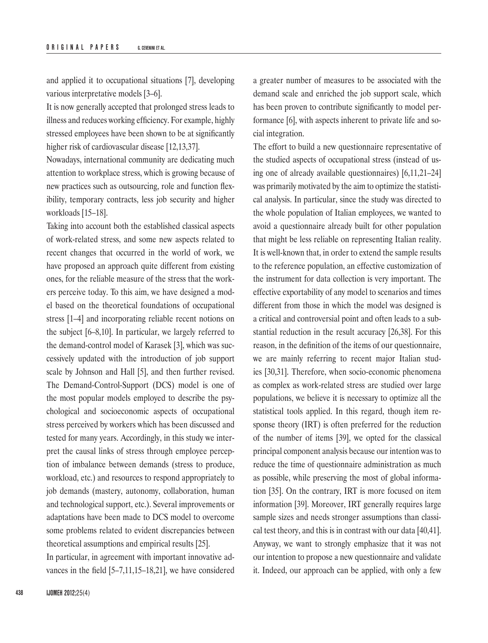and applied it to occupational situations [7], developing various interpretative models [3–6].

It is now generally accepted that prolonged stress leads to illness and reduces working efficiency. For example, highly stressed employees have been shown to be at significantly higher risk of cardiovascular disease [12,13,37].

Nowadays, international community are dedicating much attention to workplace stress, which is growing because of new practices such as outsourcing, role and function flexibility, temporary contracts, less job security and higher workloads [15–18].

Taking into account both the established classical aspects of work-related stress, and some new aspects related to recent changes that occurred in the world of work, we have proposed an approach quite different from existing ones, for the reliable measure of the stress that the workers perceive today. To this aim, we have designed a model based on the theoretical foundations of occupational stress [1–4] and incorporating reliable recent notions on the subject [6–8,10]. In particular, we largely referred to the demand-control model of Karasek [3], which was successively updated with the introduction of job support scale by Johnson and Hall [5], and then further revised. The Demand-Control-Support (DCS) model is one of the most popular models employed to describe the psychological and socioeconomic aspects of occupational stress perceived by workers which has been discussed and tested for many years. Accordingly, in this study we interpret the causal links of stress through employee perception of imbalance between demands (stress to produce, workload, etc.) and resources to respond appropriately to job demands (mastery, autonomy, collaboration, human and technological support, etc.). Several improvements or adaptations have been made to DCS model to overcome some problems related to evident discrepancies between theoretical assumptions and empirical results [25].

In particular, in agreement with important innovative advances in the field [5–7,11,15–18,21], we have considered a greater number of measures to be associated with the demand scale and enriched the job support scale, which has been proven to contribute significantly to model performance [6], with aspects inherent to private life and social integration.

The effort to build a new questionnaire representative of the studied aspects of occupational stress (instead of using one of already available questionnaires) [6,11,21–24] was primarily motivated by the aim to optimize the statistical analysis. In particular, since the study was directed to the whole population of Italian employees, we wanted to avoid a questionnaire already built for other population that might be less reliable on representing Italian reality. It is well-known that, in order to extend the sample results to the reference population, an effective customization of the instrument for data collection is very important. The effective exportability of any model to scenarios and times different from those in which the model was designed is a critical and controversial point and often leads to a substantial reduction in the result accuracy [26,38]. For this reason, in the definition of the items of our questionnaire, we are mainly referring to recent major Italian studies [30,31]. Therefore, when socio-economic phenomena as complex as work-related stress are studied over large populations, we believe it is necessary to optimize all the statistical tools applied. In this regard, though item response theory (IRT) is often preferred for the reduction of the number of items [39], we opted for the classical principal component analysis because our intention was to reduce the time of questionnaire administration as much as possible, while preserving the most of global information [35]. On the contrary, IRT is more focused on item information [39]. Moreover, IRT generally requires large sample sizes and needs stronger assumptions than classical test theory, and this is in contrast with our data [40,41]. Anyway, we want to strongly emphasize that it was not our intention to propose a new questionnaire and validate it. Indeed, our approach can be applied, with only a few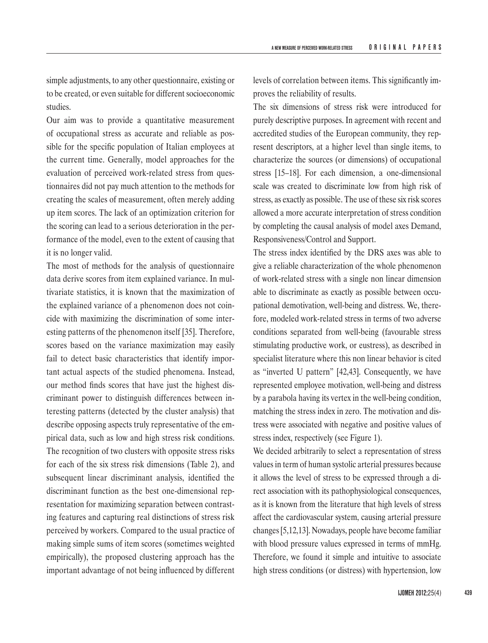simple adjustments, to any other questionnaire, existing or to be created, or even suitable for different socioeconomic studies.

Our aim was to provide a quantitative measurement of occupational stress as accurate and reliable as possible for the specific population of Italian employees at the current time. Generally, model approaches for the evaluation of perceived work-related stress from questionnaires did not pay much attention to the methods for creating the scales of measurement, often merely adding up item scores. The lack of an optimization criterion for the scoring can lead to a serious deterioration in the performance of the model, even to the extent of causing that it is no longer valid.

The most of methods for the analysis of questionnaire data derive scores from item explained variance. In multivariate statistics, it is known that the maximization of the explained variance of a phenomenon does not coincide with maximizing the discrimination of some interesting patterns of the phenomenon itself [35]. Therefore, scores based on the variance maximization may easily fail to detect basic characteristics that identify important actual aspects of the studied phenomena. Instead, our method finds scores that have just the highest discriminant power to distinguish differences between interesting patterns (detected by the cluster analysis) that describe opposing aspects truly representative of the empirical data, such as low and high stress risk conditions. The recognition of two clusters with opposite stress risks for each of the six stress risk dimensions (Table 2), and subsequent linear discriminant analysis, identified the discriminant function as the best one-dimensional representation for maximizing separation between contrasting features and capturing real distinctions of stress risk perceived by workers. Compared to the usual practice of making simple sums of item scores (sometimes weighted empirically), the proposed clustering approach has the important advantage of not being influenced by different levels of correlation between items. This significantly improves the reliability of results.

The six dimensions of stress risk were introduced for purely descriptive purposes. In agreement with recent and accredited studies of the European community, they represent descriptors, at a higher level than single items, to characterize the sources (or dimensions) of occupational stress [15–18]. For each dimension, a one-dimensional scale was created to discriminate low from high risk of stress, as exactly as possible. The use of these six risk scores allowed a more accurate interpretation of stress condition by completing the causal analysis of model axes Demand, Responsiveness/Control and Support.

The stress index identified by the DRS axes was able to give a reliable characterization of the whole phenomenon of work-related stress with a single non linear dimension able to discriminate as exactly as possible between occupational demotivation, well-being and distress. We, therefore, modeled work-related stress in terms of two adverse conditions separated from well-being (favourable stress stimulating productive work, or eustress), as described in specialist literature where this non linear behavior is cited as "inverted U pattern" [42,43]. Consequently, we have represented employee motivation, well-being and distress by a parabola having its vertex in the well-being condition, matching the stress index in zero. The motivation and distress were associated with negative and positive values of stress index, respectively (see Figure 1).

We decided arbitrarily to select a representation of stress values in term of human systolic arterial pressures because it allows the level of stress to be expressed through a direct association with its pathophysiological consequences, as it is known from the literature that high levels of stress affect the cardiovascular system, causing arterial pressure changes[5,12,13]. Nowadays, people have become familiar with blood pressure values expressed in terms of mmHg. Therefore, we found it simple and intuitive to associate high stress conditions (or distress) with hypertension, low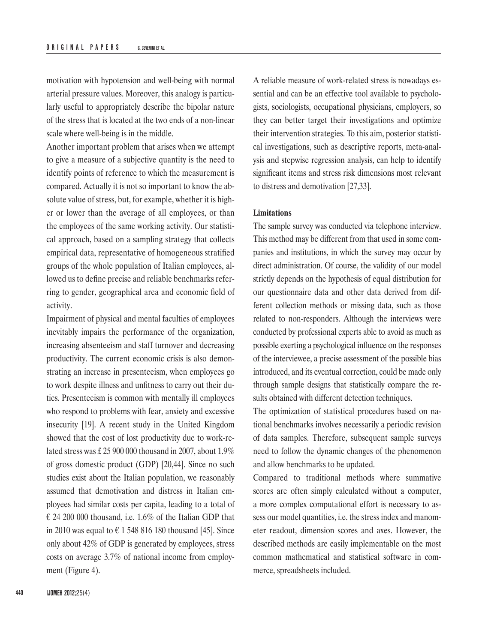motivation with hypotension and well-being with normal arterial pressure values. Moreover, this analogy is particularly useful to appropriately describe the bipolar nature of the stress that is located at the two ends of a non-linear scale where well-being is in the middle.

Another important problem that arises when we attempt to give a measure of a subjective quantity is the need to identify points of reference to which the measurement is compared. Actually it is not so important to know the absolute value of stress, but, for example, whether it is higher or lower than the average of all employees, or than the employees of the same working activity. Our statistical approach, based on a sampling strategy that collects empirical data, representative of homogeneous stratified groups of the whole population of Italian employees, allowed us to define precise and reliable benchmarks referring to gender, geographical area and economic field of activity.

Impairment of physical and mental faculties of employees inevitably impairs the performance of the organization, increasing absenteeism and staff turnover and decreasing productivity. The current economic crisis is also demonstrating an increase in presenteeism, when employees go to work despite illness and unfitness to carry out their duties. Presenteeism is common with mentally ill employees who respond to problems with fear, anxiety and excessive insecurity [19]. A recent study in the United Kingdom showed that the cost of lost productivity due to work-related stress was £ 25 900 000 thousand in 2007, about 1.9% of gross domestic product (GDP) [20,44]. Since no such studies exist about the Italian population, we reasonably assumed that demotivation and distress in Italian employees had similar costs per capita, leading to a total of  $\epsilon$  24 200 000 thousand, i.e. 1.6% of the Italian GDP that in 2010 was equal to  $\epsilon$  1 548 816 180 thousand [45]. Since only about 42% of GDP is generated by employees, stress costs on average 3.7% of national income from employment (Figure 4).

A reliable measure of work-related stress is nowadays essential and can be an effective tool available to psychologists, sociologists, occupational physicians, employers, so they can better target their investigations and optimize their intervention strategies. To this aim, posterior statistical investigations, such as descriptive reports, meta-analysis and stepwise regression analysis, can help to identify significant items and stress risk dimensions most relevant to distress and demotivation [27,33].

### **Limitations**

The sample survey was conducted via telephone interview. This method may be different from that used in some companies and institutions, in which the survey may occur by direct administration. Of course, the validity of our model strictly depends on the hypothesis of equal distribution for our questionnaire data and other data derived from different collection methods or missing data, such as those related to non-responders. Although the interviews were conducted by professional experts able to avoid as much as possible exerting a psychological influence on the responses of the interviewee, a precise assessment of the possible bias introduced, and its eventual correction, could be made only through sample designs that statistically compare the results obtained with different detection techniques.

The optimization of statistical procedures based on national benchmarks involves necessarily a periodic revision of data samples. Therefore, subsequent sample surveys need to follow the dynamic changes of the phenomenon and allow benchmarks to be updated.

Compared to traditional methods where summative scores are often simply calculated without a computer, a more complex computational effort is necessary to assess our model quantities, i.e. the stress index and manometer readout, dimension scores and axes. However, the described methods are easily implementable on the most common mathematical and statistical software in commerce, spreadsheets included.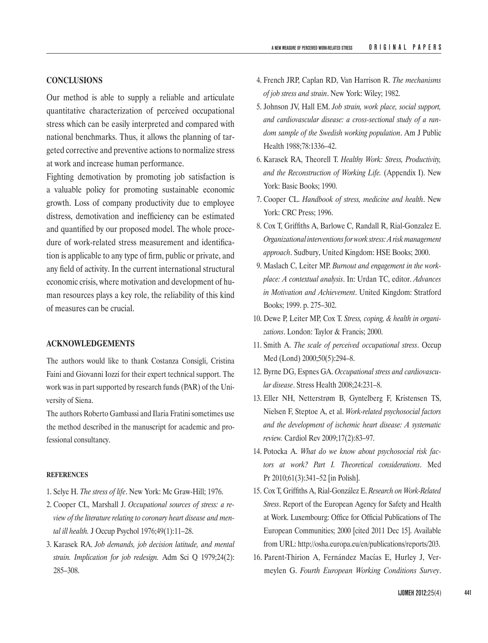# **CONCLUSIONS**

Our method is able to supply a reliable and articulate quantitative characterization of perceived occupational stress which can be easily interpreted and compared with national benchmarks. Thus, it allows the planning of targeted corrective and preventive actions to normalize stress at work and increase human performance.

Fighting demotivation by promoting job satisfaction is a valuable policy for promoting sustainable economic growth. Loss of company productivity due to employee distress, demotivation and inefficiency can be estimated and quantified by our proposed model. The whole procedure of work-related stress measurement and identification is applicable to any type of firm, public or private, and any field of activity. In the current international structural economic crisis, where motivation and development of human resources plays a key role, the reliability of this kind of measures can be crucial.

#### **ACKNOWLEDGEMENTS**

The authors would like to thank Costanza Consigli, Cristina Faini and Giovanni Iozzi for their expert technical support. The work was in part supported by research funds (PAR) of the University of Siena.

The authors Roberto Gambassi and Ilaria Fratini sometimes use the method described in the manuscript for academic and professional consultancy.

#### **REFERENCES**

- 1.  Selye H. *The stress of life*. New York: Mc Graw-Hill; 1976.
- 2.  Cooper CL, Marshall J. *Occupational sources of stress: a review of the literature relating to coronary heart disease and mental ill health.* J Occup Psychol 1976;49(1):11–28.
- 3.  Karasek RA. *Job demands, job decision latitude, and mental strain. Implication for job redesign.* Adm Sci Q 1979;24(2): 285–308.
- 4.  French JRP, Caplan RD, Van Harrison R. *The mechanisms of job stress and strain*. New York: Wiley; 1982.
- 5.  Johnson JV, Hall EM. *Job strain, work place, social support, and cardiovascular disease: a cross-sectional study of a random sample of the Swedish working population*. Am J Public Health 1988;78:1336–42.
- 6.  Karasek RA, Theorell T. *Healthy Work: Stress, Productivity, and the Reconstruction of Working Life.* (Appendix I). New York: Basic Books; 1990.
- 7.  Cooper CL. *Handbook of stress, medicine and health*. New York: CRC Press; 1996.
- 8.  Cox T, Griffiths A, Barlowe C, Randall R, Rial-Gonzalez E. *Organizational interventions for work stress: Arisk management approach*. Sudbury, United Kingdom: HSE Books; 2000.
- 9.  Maslach C, Leiter MP. *Burnout and engagement in the workplace: A contextual analysis*. In: Urdan TC, editor. *Advances in Motivation and Achievement*. United Kingdom: Stratford Books; 1999. p. 275–302.
- 10.  Dewe P, Leiter MP, Cox T. *Stress, coping, & health in organizations*. London: Taylor & Francis; 2000.
- 11.  Smith A. *The scale of perceived occupational stress*. Occup Med (Lond) 2000;50(5):294–8.
- 12.  Byrne DG, Espnes GA. *Occupational stress and cardiovascular disease*. Stress Health 2008;24:231–8.
- 13.  Eller NH, Netterstrøm B, Gyntelberg F, Kristensen TS, Nielsen F, Steptoe A, et al. *Work-related psychosocial factors and the development of ischemic heart disease: A systematic review.* Cardiol Rev 2009;17(2):83–97.
- 14.  Potocka A. *What do we know about psychosocial risk factors at work? Part I. Theoretical considerations*. Med Pr 2010;61(3):341–52 [in Polish].
- 15.  Cox T, Griffiths A, Rial-González E. *Research on Work-Related Stress*. Report of the European Agency for Safety and Health at Work. Luxembourg: Office for Official Publications of The European Communities; 2000 [cited 2011 Dec 15]. Available from URL: http://osha.europa.eu/en/publications/reports/203.
- 16.  Parent-Thirion A, Fernández Macías E, Hurley J, Vermeylen G. *Fourth European Working Conditions Survey*.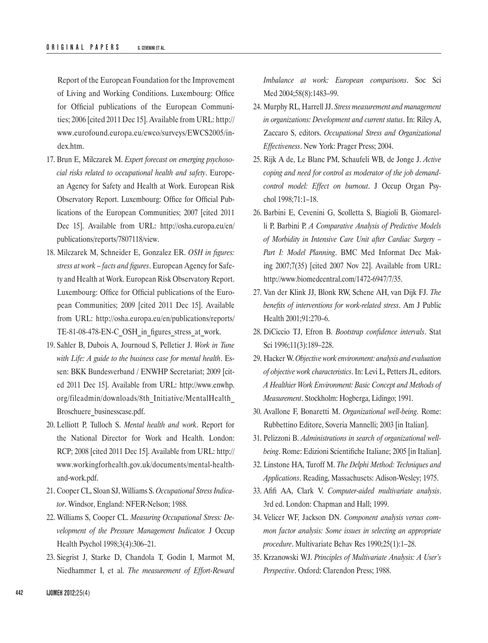Report of the European Foundation for the Improvement of Living and Working Conditions. Luxembourg: Office for Official publications of the European Communities; 2006 [cited 2011 Dec 15]. Available from URL: http:// www.eurofound.europa.eu/ewco/surveys/EWCS2005/index.htm.

- 17.  Brun E, Milczarek M. *Expert forecast on emerging psychosocial risks related to occupational health and safety*. European Agency for Safety and Health at Work. European Risk Observatory Report. Luxembourg: Office for Official Publications of the European Communities; 2007 [cited 2011 Dec 15]. Available from URL: http://osha.europa.eu/en/ publications/reports/7807118/view.
- 18.  Milczarek M, Schneider E, Gonzalez ER. *OSH in figures: stress at work – facts and figures*. European Agency for Safety and Health at Work. European Risk Observatory Report. Luxembourg: Office for Official publications of the European Communities; 2009 [cited 2011 Dec 15]. Available from URL: http://osha.europa.eu/en/publications/reports/ TE-81-08-478-EN-C\_OSH\_in\_figures\_stress\_at\_work.
- 19.  Sahler B, Dubois A, Journoud S, Pelletier J. *Work in Tune with Life: A guide to the business case for mental health*. Essen: BKK Bundesverband / ENWHP Secretariat; 2009 [cited 2011 Dec 15]. Available from URL: [http://www.enwhp.](http://www.enwhp.org/fileadmin/downloads/8th_Initiative/MentalHealth_Broschuere_businesscase.pdf) [org/fileadmin/downloads/8th\\_Initiative/MentalHealth\\_](http://www.enwhp.org/fileadmin/downloads/8th_Initiative/MentalHealth_Broschuere_businesscase.pdf) [Broschuere\\_businesscase.pdf](http://www.enwhp.org/fileadmin/downloads/8th_Initiative/MentalHealth_Broschuere_businesscase.pdf).
- 20.  Lelliott P, Tulloch S. *Mental health and work*. Report for the National Director for Work and Health. London: RCP; 2008 [cited 2011 Dec 15]. Available from URL: http:// www.workingforhealth.gov.uk/documents/mental-healthand-work.pdf.
- 21.  Cooper CL, Sloan SJ, Williams S. *Occupational Stress Indicator*. Windsor, England: NFER-Nelson; 1988.
- 22.  Williams S, Cooper CL. *Measuring Occupational Stress: Development of the Pressure Management Indicator.* J Occup Health Psychol 1998;3(4):306–21.
- 23.  Siegrist J, Starke D, Chandola T, [Godin I,](http://www.ncbi.nlm.nih.gov/pubmed?term=Godin I%5BAuthor%5D&cauthor=true&cauthor_uid=14759692) [Marmot M](http://www.ncbi.nlm.nih.gov/pubmed?term=Marmot M%5BAuthor%5D&cauthor=true&cauthor_uid=14759692), [Niedhammer I](http://www.ncbi.nlm.nih.gov/pubmed?term=Niedhammer I%5BAuthor%5D&cauthor=true&cauthor_uid=14759692), et al. *The measurement of Effort-Reward*

*Imbalance at work: European comparisons*. Soc Sci Med 2004;58(8):1483–99.

- 24.  Murphy RL, Harrell JJ. *Stress measurement and management in organizations: Development and current status*. In: Riley A, Zaccaro S, editors. *Occupational Stress and Organizational Effectiveness*. New York: Prager Press; 2004.
- 25.  Rijk A de, Le Blanc PM, Schaufeli WB, de Jonge J. *Active coping and need for control as moderator of the job demandcontrol model: Effect on burnout*. J Occup Organ Psychol 1998;71:1–18.
- 26.  Barbini E, Cevenini G, Scolletta S, Biagioli B, Giomarelli P, Barbini P. *A Comparative Analysis of Predictive Models of Morbidity in Intensive Care Unit after Cardiac Surgery – Part I: Model Planning*. BMC Med Informat Dec Making 2007;7(35) [cited 2007 Nov 22]. Available from URL: http://www.biomedcentral.com/1472-6947/7/35.
- 27.  Van der Klink JJ, Blonk RW, Schene AH, van Dijk FJ. *The benefits of interventions for work-related stress*. Am J Public Health 2001;91:270–6.
- 28.  DiCiccio TJ, Efron B. *Bootstrap confidence intervals*. Stat Sci 1996;11(3):189–228.
- 29.  Hacker W. *Objective work environment: analysis and evaluation of objective work characteristics*. In: Levi L, Petters JL, editors. *A Healthier Work Environment: Basic Concept and Methods of Measurement*. Stockholm: Hogberga, Lidingo; 1991.
- 30.  Avallone F, Bonaretti M. *Organizational well-being*. Rome: Rubbettino Editore, Soveria Mannelli; 2003 [in Italian].
- 31.  Pelizzoni B. *Administrations in search of organizational wellbeing*. Rome: Edizioni Scientifiche Italiane; 2005 [in Italian].
- 32.  Linstone HA, Turoff M. *The Delphi Method: Techniques and Applications*. Reading, Massachusets: Adison-Wesley; 1975.
- 33.  Afifi AA, Clark V. *Computer-aided multivariate analysis*. 3rd ed. London: Chapman and Hall; 1999.
- 34.  Velicer WF, Jackson DN. *Component analysis versus common factor analysis: Some issues in selecting an appropriate procedure*. Multivariate Behav Res 1990;25(1):1–28.
- 35.  Krzanowski WJ. *Principles of Multivariate Analysis: A User's Perspective*. Oxford: Clarendon Press; 1988.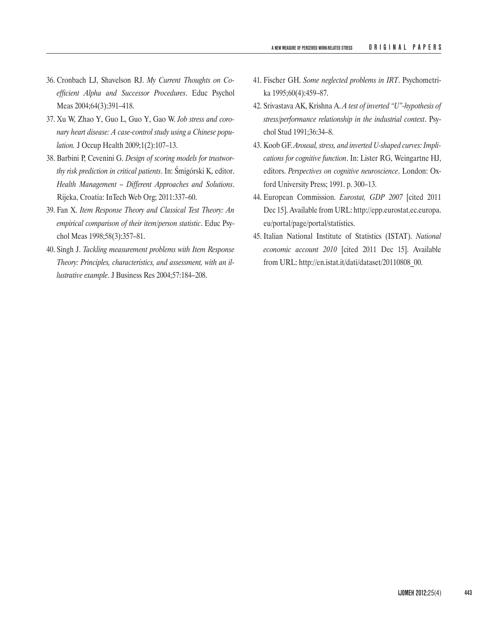- 36.  Cronbach LJ, Shavelson RJ. *My Current Thoughts on Coefficient Alpha and Successor Procedures*. Educ Psychol Meas 2004;64(3):391–418.
- 37.  Xu W, Zhao Y, Guo L, Guo Y, Gao W. *Job stress and coronary heart disease: A case-control study using a Chinese population.* J Occup Health 2009;1(2):107–13.
- 38.  Barbini P, Cevenini G. *Design of scoring models for trustworthy risk prediction in critical patients*. In: Śmigórski K, editor. *Health Management – Different Approaches and Solutions*. Rijeka, Croatia: InTech Web Org; 2011:337–60.
- 39.  Fan X. *Item Response Theory and Classical Test Theory: An empirical comparison of their item/person statistic*. Educ Psychol Meas 1998;58(3):357–81.
- 40.  Singh J. *Tackling measurement problems with Item Response Theory: Principles, characteristics, and assessment, with an illustrative example*. J Business Res 2004;57:184–208.
- 41.  Fischer GH. *Some neglected problems in IRT*. Psychometrika 1995;60(4):459–87.
- 42.  Srivastava AK, Krishna A. *A test of inverted "U"-hypothesis of stress/performance relationship in the industrial context*. Psychol Stud 1991;36:34–8.
- 43.  Koob GF. *Arousal, stress, and inverted U-shaped curves: Implications for cognitive function*. In: Lister RG, Weingartne HJ, editors. *Perspectives on cognitive neuroscience*. London: Oxford University Press; 1991. p. 300–13.
- 44.  European Commission. *Eurostat, GDP 2007* [cited 2011 Dec 15]. Available from URL: http://epp.eurostat.ec.europa. eu/portal/page/portal/statistics.
- 45.  Italian National Institute of Statistics (ISTAT). *National economic account 2010* [cited 2011 Dec 15]. Available from URL: http://en.istat.it/dati/dataset/20110808\_00.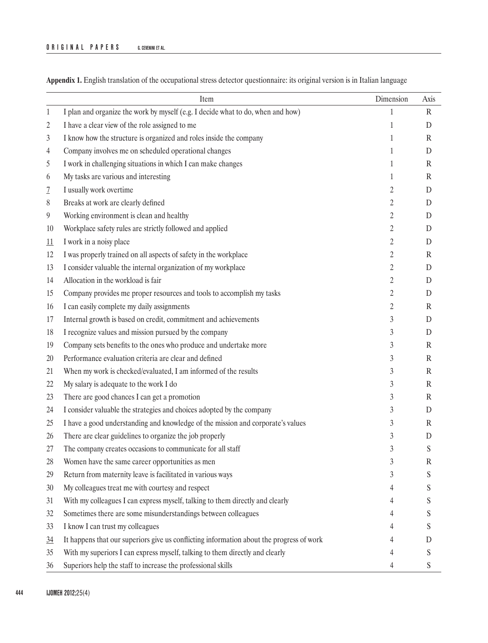# **ORIGINAL PAPERS G. CEVENINI ET AL.**

|                          | Item                                                                                     | Dimension      | Axis         |
|--------------------------|------------------------------------------------------------------------------------------|----------------|--------------|
| $\mathbf{1}$             | I plan and organize the work by myself (e.g. I decide what to do, when and how)          | $\mathbf{1}$   | $\mathbf R$  |
| 2                        | I have a clear view of the role assigned to me                                           | 1              | $\mathbf D$  |
| 3                        | I know how the structure is organized and roles inside the company                       | 1              | $\mathbb{R}$ |
| 4                        | Company involves me on scheduled operational changes                                     | 1              | D            |
| 5                        | I work in challenging situations in which I can make changes                             | 1              | R            |
| 6                        | My tasks are various and interesting                                                     | $\mathbf{1}$   | $\mathbb{R}$ |
| $\overline{\mathcal{I}}$ | I usually work overtime                                                                  | $\overline{2}$ | D            |
| 8                        | Breaks at work are clearly defined                                                       | 2              | D            |
| 9                        | Working environment is clean and healthy                                                 | $\overline{2}$ | D            |
| 10                       | Workplace safety rules are strictly followed and applied                                 | $\overline{2}$ | D            |
| 11                       | I work in a noisy place                                                                  | 2              | D            |
| 12                       | I was properly trained on all aspects of safety in the workplace                         | $\overline{2}$ | $\mathbb{R}$ |
| 13                       | I consider valuable the internal organization of my workplace                            | 2              | $\mathbf D$  |
| 14                       | Allocation in the workload is fair                                                       | $\overline{2}$ | D            |
| 15                       | Company provides me proper resources and tools to accomplish my tasks                    | $\overline{2}$ | D            |
| 16                       | I can easily complete my daily assignments                                               | 2              | $\mathbb{R}$ |
| 17                       | Internal growth is based on credit, commitment and achievements                          | 3              | D            |
| 18                       | I recognize values and mission pursued by the company                                    | 3              | $\mathbf D$  |
| 19                       | Company sets benefits to the ones who produce and undertake more                         | 3              | $\mathbb{R}$ |
| 20                       | Performance evaluation criteria are clear and defined                                    | 3              | $\mathbb{R}$ |
| 21                       | When my work is checked/evaluated, I am informed of the results                          | 3              | $\mathbb{R}$ |
| 22                       | My salary is adequate to the work I do                                                   | 3              | $\mathbb{R}$ |
| 23                       | There are good chances I can get a promotion                                             | 3              | $\mathbf R$  |
| 24                       | I consider valuable the strategies and choices adopted by the company                    | 3              | $\mathbf D$  |
| 25                       | I have a good understanding and knowledge of the mission and corporate's values          | 3              | $\mathbf R$  |
| 26                       | There are clear guidelines to organize the job properly                                  | 3              | D            |
| 27                       | The company creates occasions to communicate for all staff                               | 3              | S            |
| 28                       | Women have the same career opportunities as men                                          | 3              | $\mathbb{R}$ |
| 29                       | Return from maternity leave is facilitated in various ways                               | 3              | S            |
| 30                       | My colleagues treat me with courtesy and respect                                         | 4              | S            |
| 31                       | With my colleagues I can express myself, talking to them directly and clearly            | 4              | S            |
| 32                       | Sometimes there are some misunderstandings between colleagues                            | 4              | S            |
| 33                       | I know I can trust my colleagues                                                         | 4              | S            |
| 34                       | It happens that our superiors give us conflicting information about the progress of work | 4              | D            |
| 35                       | With my superiors I can express myself, talking to them directly and clearly             | 4              | S            |
| 36                       | Superiors help the staff to increase the professional skills                             | 4              | S            |

**Appendix 1.** English translation of the occupational stress detector questionnaire: its original version is in Italian language